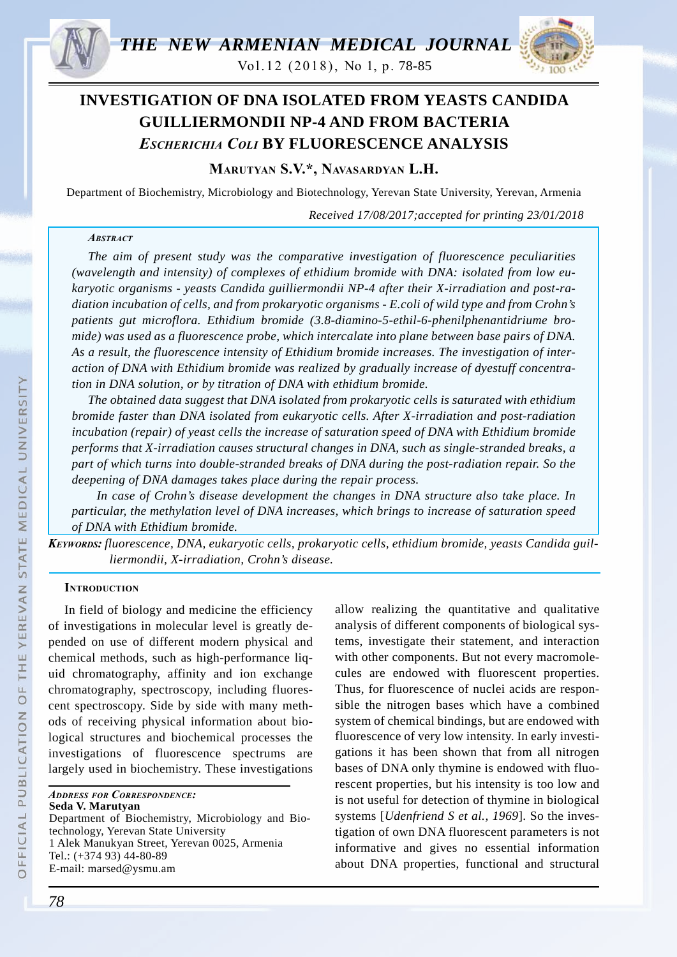

Vol.12 (2018), Nо 1, p. 78-85



# **INVESTIGATION OF DNA ISOLATED FROM YEASTS CANDIDA GUILLIERMONDII NP-4 AND FROM BACTERIA**  *Escherichia Coli* **BY FLUORESCENCE ANALYSIS**

**Marutyan S.V.\*, Navasardyan L.H.**

Department of Biochemistry, Microbiology and Biotechnology, Yerevan State University, Yerevan, Armenia

*Received 17/08/2017;accepted for printing 23/01/2018*

## *Abstract*

*The aim of present study was the comparative investigation of fluorescence peculiarities (wavelength and intensity) of complexes of ethidium bromide with DNA: isolated from low eukaryotic organisms - yeasts Candida guilliermondii NP-4 after their X-irradiation and post-radiation incubation of cells, and from prokaryotic organisms - E.coli of wild type and from Crohn's patients gut microflora. Ethidium bromide (3.8-diamino-5-ethil-6-phenilphenantidriume bromide) was used as a fluorescence probe, which intercalate into plane between base pairs of DNA. As a result, the fluorescence intensity of Ethidium bromide increases. The investigation of interaction of DNA with Ethidium bromide was realized by gradually increase of dyestuff concentration in DNA solution, or by titration of DNA with ethidium bromide.* 

*The obtained data suggest that DNA isolated from prokaryotic cells is saturated with ethidium bromide faster than DNA isolated from eukaryotic cells. After X-irradiation and post-radiation incubation (repair) of yeast cells the increase of saturation speed of DNA with Ethidium bromide performs that X-irradiation causes structural changes in DNA, such as single-stranded breaks, a part of which turns into double-stranded breaks of DNA during the post-radiation repair. So the deepening of DNA damages takes place during the repair process.*

*In case of Crohn's disease development the changes in DNA structure also take place. In particular, the methylation level of DNA increases, which brings to increase of saturation speed of DNA with Ethidium bromide.*

*Keywords: fluorescence, DNA, eukaryotic cells, prokaryotic cells, ethidium bromide, yeasts Candida guilliermondii, X-irradiation, Crohn's disease.*

## **INTRODUCTION**

In field of biology and medicine the efficiency of investigations in molecular level is greatly depended on use of different modern physical and chemical methods, such as high-performance liquid chromatography, affinity and ion exchange chromatography, spectroscopy, including fluorescent spectroscopy. Side by side with many methods of receiving physical information about biological structures and biochemical processes the investigations of fluorescence spectrums are largely used in biochemistry. These investigations

*Address for Correspondence:* **Seda V. Marutyan** Department of Biochemistry, Microbiology and Biotechnology, Yerevan State University 1 Alek Manukyan Street, Yerevan 0025, Armenia Tel.: (+374 93) 44-80-89 E-mail: marsed@ysmu.am

allow realizing the quantitative and qualitative analysis of different components of biological systems, investigate their statement, and interaction with other components. But not every macromolecules are endowed with fluorescent properties. Thus, for fluorescence of nuclei acids are responsible the nitrogen bases which have a combined system of chemical bindings, but are endowed with fluorescence of very low intensity. In early investigations it has been shown that from all nitrogen bases of DNA only thymine is endowed with fluorescent properties, but his intensity is too low and is not useful for detection of thymine in biological systems [*Udenfriend S et al., 1969*]. So the investigation of own DNA fluorescent parameters is not informative and gives no essential information about DNA properties, functional and structural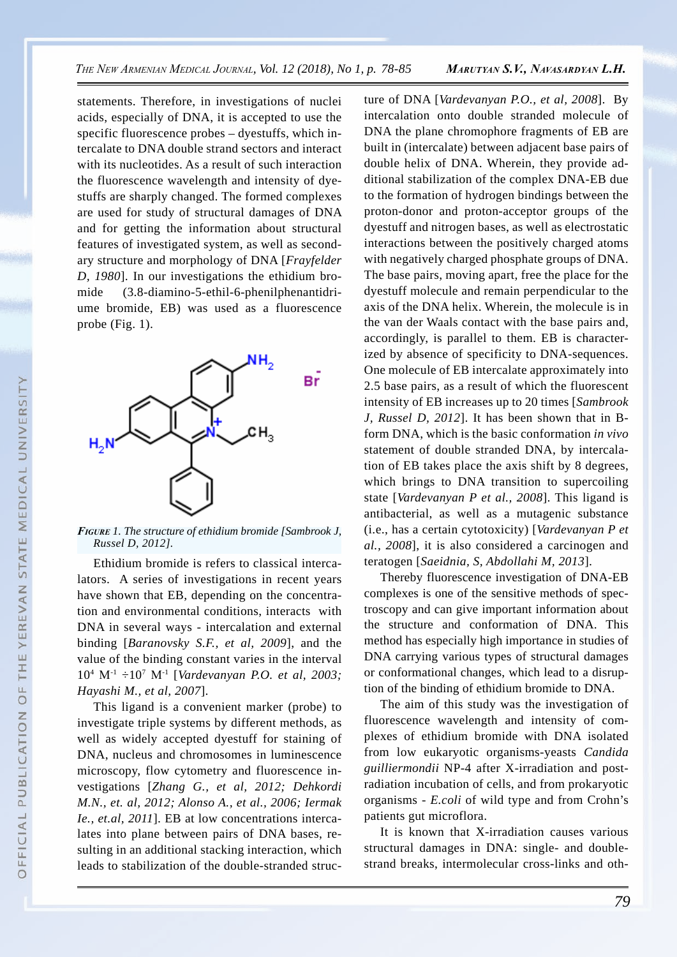statements. Therefore, in investigations of nuclei acids, especially of DNA, it is accepted to use the specific fluorescence probes – dyestuffs, which intercalate to DNA double strand sectors and interact with its nucleotides. As a result of such interaction the fluorescence wavelength and intensity of dyestuffs are sharply changed. The formed complexes are used for study of structural damages of DNA and for getting the information about structural features of investigated system, as well as secondary structure and morphology of DNA [*Frayfelder D, 1980*]. In our investigations the ethidium bromide (3.8-diamino-5-ethil-6-phenilphenantidriume bromide, EB) was used as a fluorescence probe (Fig. 1).



*Figure 1. The structure of ethidium bromide [Sambrook J, Russel D, 2012].*

Ethidium bromide is refers to classical intercalators. A series of investigations in recent years have shown that EB, depending on the concentration and environmental conditions, interacts with DNA in several ways - intercalation and external binding [*Baranovsky S.F., et al, 2009*], and the value of the binding constant varies in the interval 104 М-1 ÷107 М-1 [*Vardevanyan P.O. et al, 2003; Hayashi M., et al, 2007*].

This ligand is a convenient marker (probe) to investigate triple systems by different methods, as well as widely accepted dyestuff for staining of DNA, nucleus and chromosomes in luminescence microscopy, flow cytometry and fluorescence investigations [*Zhang G., et al, 2012; Dehkordi M.N., et. al, 2012; Alonso A., et al., 2006; Iermak Ie., et.al, 2011*]. EB at low concentrations intercalates into plane between pairs of DNA bases, resulting in an additional stacking interaction, which leads to stabilization of the double-stranded structure of DNA [*Vardevanyan P.O., et al, 2008*]. By intercalation onto double stranded molecule of DNA the plane chromophore fragments of EB are built in (intercalate) between adjacent base pairs of double helix of DNA. Wherein, they provide additional stabilization of the complex DNA-EB due to the formation of hydrogen bindings between the proton-donor and proton-acceptor groups of the dyestuff and nitrogen bases, as well as electrostatic interactions between the positively charged atoms with negatively charged phosphate groups of DNA. The base pairs, moving apart, free the place for the dyestuff molecule and remain perpendicular to the axis of the DNA helix. Wherein, the molecule is in the van der Waals contact with the base pairs and, accordingly, is parallel to them. EB is characterized by absence of specificity to DNA-sequences. One molecule of EB intercalate approximately into 2.5 base pairs, as a result of which the fluorescent intensity of EB increases up to 20 times [*Sambrook J, Russel D, 2012*]. It has been shown that in Bform DNA, which is the basic conformation *in vivo* statement of double stranded DNA, by intercalation of EB takes place the axis shift by 8 degrees, which brings to DNA transition to supercoiling state [*Vardevanyan P et al., 2008*]. This ligand is antibacterial, as well as a mutagenic substance (i.e., has a certain cytotoxicity) [*Vardevanyan P et al., 2008*], it is also considered a carcinogen and teratogen [*Saeidnia, S, Abdollahi M, 2013*].

Thereby fluorescence investigation of DNA-EB complexes is one of the sensitive methods of spectroscopy and can give important information about the structure and conformation of DNA. This method has especially high importance in studies of DNA carrying various types of structural damages or conformational changes, which lead to a disruption of the binding of ethidium bromide to DNA.

The aim of this study was the investigation of fluorescence wavelength and intensity of complexes of ethidium bromide with DNA isolated from low eukaryotic organisms-yeasts *Candida guilliermondii* NP-4 after X-irradiation and postradiation incubation of cells, and from prokaryotic organisms - *E.coli* of wild type and from Crohn's patients gut microflora.

It is known that X-irradiation causes various structural damages in DNA: single- and doublestrand breaks, intermolecular cross-links and oth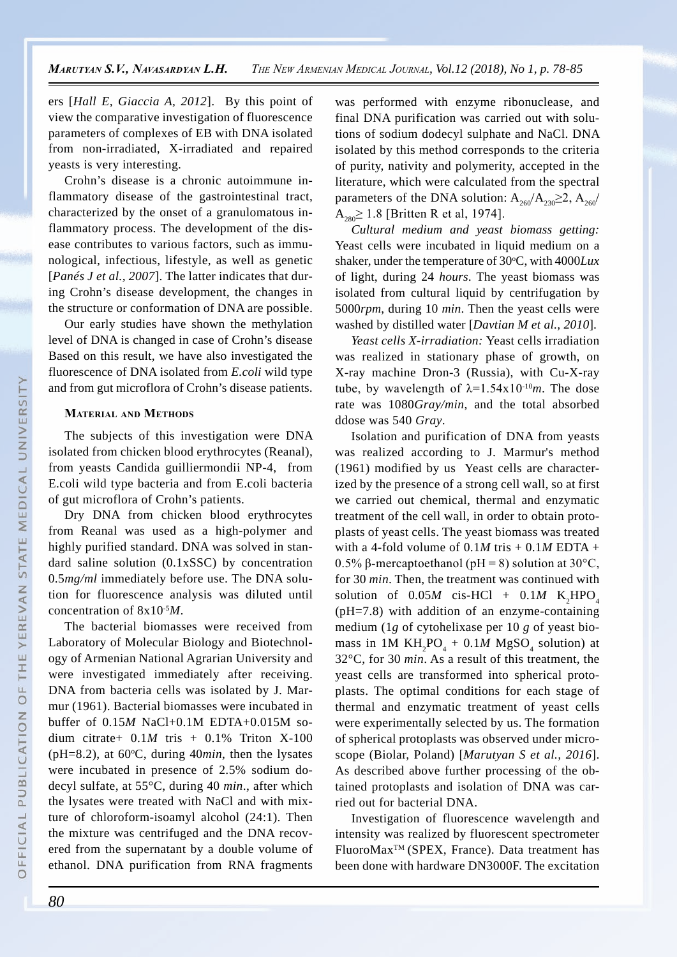ers [*Hall E, Giaccia A, 2012*]. By this point of view the comparative investigation of fluorescence parameters of complexes of EB with DNA isolated from non-irradiated, X-irradiated and repaired yeasts is very interesting.

Crohn's disease is a chronic autoimmune inflammatory disease of the gastrointestinal tract, characterized by the onset of a granulomatous inflammatory process. The development of the disease contributes to various factors, such as immunological, infectious, lifestyle, as well as genetic [*Panés J et al., 2007*]. The latter indicates that during Crohn's disease development, the changes in the structure or conformation of DNA are possible.

Our early studies have shown the methylation level of DNA is changed in case of Crohn's disease Based on this result, we have also investigated the fluorescence of DNA isolated from *E.coli* wild type and from gut microflora of Crohn's disease patients.

#### **Material and Methods**

The subjects of this investigation were DNA isolated from chicken blood erythrocytes (Reanal), from yeasts Candida guilliermondii NP-4, from E.coli wild type bacteria and from E.coli bacteria of gut microflora of Crohn's patients.

Dry DNA from chicken blood erythrocytes from Reanal was used as a high-polymer and highly purified standard. DNA was solved in standard saline solution (0.1xSSC) by concentration 0.5*mg/ml* immediately before use. The DNA solution for fluorescence analysis was diluted until concentration of 8x10-5*M*.

The bacterial biomasses were received from Laboratory of Molecular Biology and Biotechnology of Armenian National Agrarian University and were investigated immediately after receiving. DNA from bacteria cells was isolated by J. Marmur (1961). Bacterial biomasses were incubated in buffer of 0.15*M* NaCl+0.1M EDTA+0.015M sodium citrate+ 0.1*M* tris + 0.1% Triton X-100 ( $pH=8.2$ ), at  $60^{\circ}C$ , during  $40min$ , then the lysates were incubated in presence of 2.5% sodium dodecyl sulfate, at 55°C, during 40 *min*., after which the lysates were treated with NaCl and with mixture of chloroform-isoamyl alcohol (24:1). Then the mixture was centrifuged and the DNA recovered from the supernatant by a double volume of ethanol. DNA purification from RNA fragments

was performed with enzyme ribonuclease, and final DNA purification was carried out with solutions of sodium dodecyl sulphate and NaCl. DNA isolated by this method corresponds to the criteria of purity, nativity and polymerity, accepted in the literature, which were calculated from the spectral parameters of the DNA solution:  $A_{260}/A_{230} \geq 2$ ,  $A_{260}/$  $A_{280} \ge 1.8$  [Britten R et al, 1974].

*Cultural medium and yeast biomass getting:*  Yeast cells were incubated in liquid medium on a shaker, under the temperature of 30°C, with 4000Lux of light, during 24 *hours*. The yeast biomass was isolated from cultural liquid by centrifugation by 5000*rpm*, during 10 *min*. Then the yeast cells were washed by distilled water [*Davtian M et al., 2010*].

*Yeast cells X-irradiation:* Yeast cells irradiation was realized in stationary phase of growth, on X-ray machine Dron-3 (Russia), with Cu-X-ray tube, by wavelength of  $\lambda = 1.54 \times 10^{-10} m$ . The dose rate was 1080*Gray/min*, and the total absorbed ddose was 540 *Gray*.

Isolation and purification of DNA from yeasts was realized according to J. Marmur's method (1961) modified by us Yeast cells are characterized by the presence of a strong cell wall, so at first we carried out chemical, thermal and enzymatic treatment of the cell wall, in order to obtain protoplasts of yeast cells. The yeast biomass was treated with a 4-fold volume of  $0.1M$  tris  $+0.1M$  EDTA  $+$ 0.5% β-mercaptoethanol (pH = 8) solution at 30°C, for 30 *min*. Then, the treatment was continued with solution of  $0.05M$  cis-HCl +  $0.1M$  K<sub>2</sub>HPO<sub>4</sub> (pH=7.8) with addition of an enzyme-containing medium (1*g* of cytohelixase per 10 *g* of yeast biomass in 1M  $KH_2PO_4 + 0.1M MgSO_4$  solution) at 32°C, for 30 *min*. As a result of this treatment, the yeast cells are transformed into spherical protoplasts. The optimal conditions for each stage of thermal and enzymatic treatment of yeast cells were experimentally selected by us. The formation of spherical protoplasts was observed under microscope (Biolar, Poland) [*Marutyan S et al., 2016*]. As described above further processing of the obtained protoplasts and isolation of DNA was carried out for bacterial DNA.

Investigation of fluorescence wavelength and intensity was realized by fluorescent spectrometer FluoroMaxTM (SPEX, France). Data treatment has been done with hardware DN3000F. The excitation

 $\circ$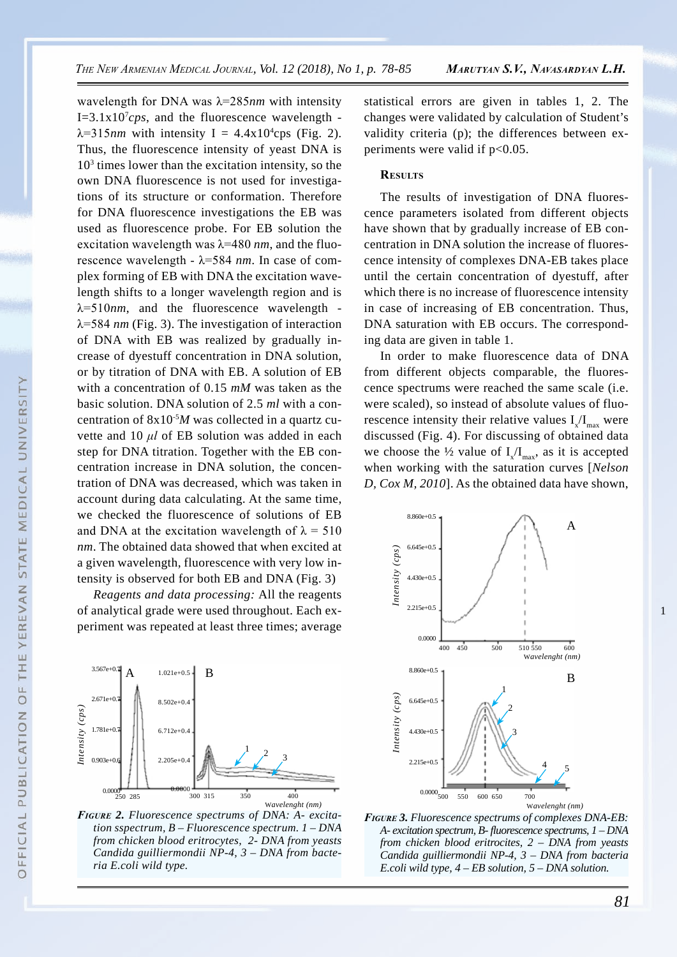wavelength for DNA was λ=285*nm* with intensity  $I=3.1x10<sup>7</sup>cps$ , and the fluorescence wavelength - $\lambda$ =315*nm* with intensity I = 4.4x10<sup>4</sup>cps (Fig. 2). Thus, the fluorescence intensity of yeast DNA is  $10<sup>3</sup>$  times lower than the excitation intensity, so the own DNA fluorescence is not used for investigations of its structure or conformation. Therefore for DNA fluorescence investigations the EB was used as fluorescence probe. For EB solution the excitation wavelength was λ=480 *nm*, and the fluorescence wavelength - λ=584 *nm*. In case of complex forming of EB with DNA the excitation wavelength shifts to a longer wavelength region and is  $\lambda = 510$ *nm*, and the fluorescence wavelength λ=584 *nm* (Fig. 3). The investigation of interaction of DNA with EB was realized by gradually increase of dyestuff concentration in DNA solution, or by titration of DNA with EB. A solution of EB with a concentration of 0.15 *mM* was taken as the basic solution. DNA solution of 2.5 *ml* with a concentration of 8x10-5*M* was collected in a quartz cuvette and 10 *μl* of EB solution was added in each step for DNA titration. Together with the EB concentration increase in DNA solution, the concentration of DNA was decreased, which was taken in account during data calculating. At the same time, we checked the fluorescence of solutions of EB and DNA at the excitation wavelength of  $\lambda = 510$ *nm*. The obtained data showed that when excited at a given wavelength, fluorescence with very low intensity is observed for both EB and DNA (Fig. 3)

*Reagents and data processing:* All the reagents of analytical grade were used throughout. Each experiment was repeated at least three times; average



*Figure 2. Fluorescence spectrums of DNA: A- excitation sspectrum, B – Fluorescence spectrum. 1 – DNA from chicken blood eritrocytes, 2- DNA from yeasts Candida guilliermondii NP-4, 3 – DNA from bacteria E.coli wild type.*

statistical errors are given in tables 1, 2. The changes were validated by calculation of Student's validity criteria (p); the differences between experiments were valid if  $p<0.05$ .

#### **Results**

The results of investigation of DNA fluorescence parameters isolated from different objects have shown that by gradually increase of EB concentration in DNA solution the increase of fluorescence intensity of complexes DNA-EB takes place until the certain concentration of dyestuff, after which there is no increase of fluorescence intensity in case of increasing of EB concentration. Thus, DNA saturation with EB occurs. The corresponding data are given in table 1.

In order to make fluorescence data of DNA from different objects comparable, the fluorescence spectrums were reached the same scale (i.e. were scaled), so instead of absolute values of fluorescence intensity their relative values  $I_x/I_{max}$  were discussed (Fig. 4). For discussing of obtained data we choose the  $\frac{1}{2}$  value of  $I_x/I_{\text{max}}$ , as it is accepted when working with the saturation curves [*Nelson D, Cox M, 2010*]. As the obtained data have shown,





 $\circ$ 

1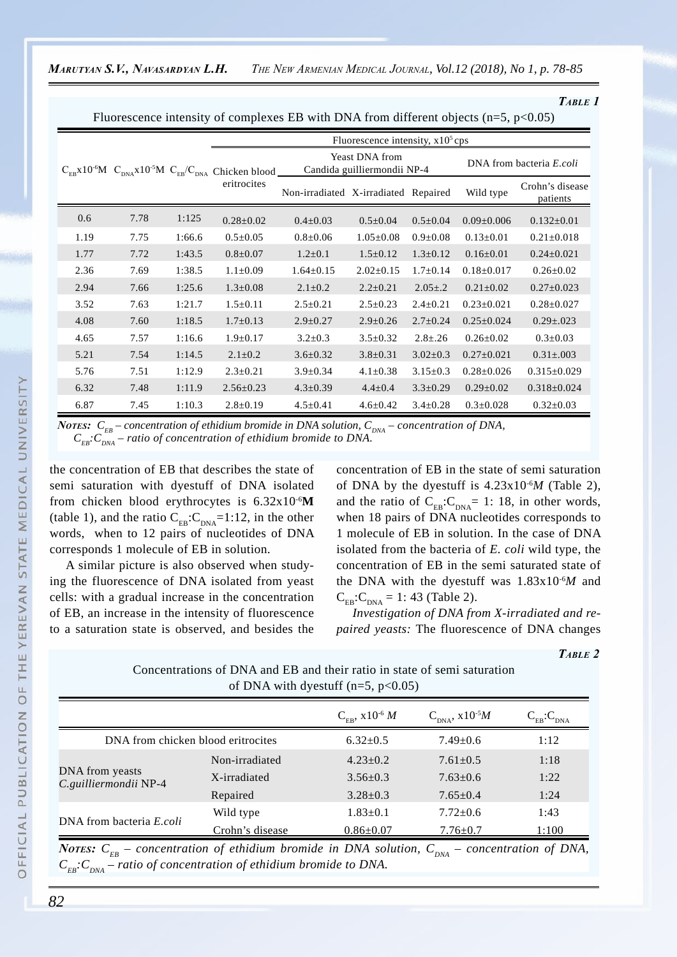*Table 1*

Fluorescence intensity of complexes EB with DNA from different objects ( $n=5$ ,  $p<0.05$ )

|      |      |        | Fluorescence intensity, $x105$ cps                                                                                                   |                                                      |                 |                |                          |                             |
|------|------|--------|--------------------------------------------------------------------------------------------------------------------------------------|------------------------------------------------------|-----------------|----------------|--------------------------|-----------------------------|
|      |      |        | $C_{\text{FR}}$ x10 <sup>-6</sup> M $C_{\text{DNA}}$ x10 <sup>-5</sup> M $C_{\text{EB}}/C_{\text{DNA}}$ Chicken blood<br>eritrocites | <b>Yeast DNA from</b><br>Candida guilliermondii NP-4 |                 |                | DNA from bacteria E.coli |                             |
|      |      |        |                                                                                                                                      | Non-irradiated X-irradiated Repaired                 |                 |                | Wild type                | Crohn's disease<br>patients |
| 0.6  | 7.78 | 1:125  | $0.28 \pm 0.02$                                                                                                                      | $0.4 \pm 0.03$                                       | $0.5 \pm 0.04$  | $0.5 \pm 0.04$ | $0.09 \pm 0.006$         | $0.132 \pm 0.01$            |
| 1.19 | 7.75 | 1:66.6 | $0.5 \pm 0.05$                                                                                                                       | $0.8 + 0.06$                                         | $1.05 \pm 0.08$ | $0.9 \pm 0.08$ | $0.13 \pm 0.01$          | $0.21 \pm 0.018$            |
| 1.77 | 7.72 | 1:43.5 | $0.8 \pm 0.07$                                                                                                                       | $1.2 \pm 0.1$                                        | $1.5 \pm 0.12$  | $1.3 \pm 0.12$ | $0.16 \pm 0.01$          | $0.24 \pm 0.021$            |
| 2.36 | 7.69 | 1:38.5 | $1.1 \pm 0.09$                                                                                                                       | $1.64 \pm 0.15$                                      | $2.02 \pm 0.15$ | $1.7 \pm 0.14$ | $0.18 \pm 0.017$         | $0.26 \pm 0.02$             |
| 2.94 | 7.66 | 1:25.6 | $1.3 \pm 0.08$                                                                                                                       | $2.1 \pm 0.2$                                        | $2.2 \pm 0.21$  | $2.05 \pm .2$  | $0.21 \pm 0.02$          | $0.27 \pm 0.023$            |
| 3.52 | 7.63 | 1:21.7 | $1.5 \pm 0.11$                                                                                                                       | $2.5 \pm 0.21$                                       | $2.5 \pm 0.23$  | $2.4 \pm 0.21$ | $0.23 \pm 0.021$         | $0.28 \pm 0.027$            |
| 4.08 | 7.60 | 1:18.5 | $1.7 \pm 0.13$                                                                                                                       | $2.9 \pm 0.27$                                       | $2.9 \pm 0.26$  | $2.7 \pm 0.24$ | $0.25 \pm 0.024$         | $0.29 \pm 0.023$            |
| 4.65 | 7.57 | 1:16.6 | $1.9 \pm 0.17$                                                                                                                       | $3.2 \pm 0.3$                                        | $3.5 \pm 0.32$  | $2.8 \pm .26$  | $0.26 \pm 0.02$          | $0.3 \pm 0.03$              |
| 5.21 | 7.54 | 1:14.5 | $2.1 \pm 0.2$                                                                                                                        | $3.6 \pm 0.32$                                       | $3.8 \pm 0.31$  | $3.02 \pm 0.3$ | $0.27 \pm 0.021$         | $0.31 \pm 0.003$            |
| 5.76 | 7.51 | 1:12.9 | $2.3 \pm 0.21$                                                                                                                       | $3.9 \pm 0.34$                                       | $4.1 \pm 0.38$  | $3.15 \pm 0.3$ | $0.28 \pm 0.026$         | $0.315 \pm 0.029$           |
| 6.32 | 7.48 | 1:11.9 | $2.56 \pm 0.23$                                                                                                                      | $4.3 \pm 0.39$                                       | $4.4 \pm 0.4$   | $3.3 \pm 0.29$ | $0.29 \pm 0.02$          | $0.318 \pm 0.024$           |
| 6.87 | 7.45 | 1:10.3 | $2.8 \pm 0.19$                                                                                                                       | $4.5 \pm 0.41$                                       | $4.6 \pm 0.42$  | $3.4 \pm 0.28$ | $0.3 \pm 0.028$          | $0.32 \pm 0.03$             |

*Notes:*  $C_{_{EB}}$  – concentration of ethidium bromide in DNA solution,  $C_{_{DNA}}$  – concentration of DNA,  $C_{EB}$ : $C_{DNA}$  – ratio of concentration of ethidium bromide to DNA.

the concentration of EB that describes the state of semi saturation with dyestuff of DNA isolated from chicken blood erythrocytes is 6.32x10-6**M** (table 1), and the ratio  $C_{EB}:C_{DNA}=1:12$ , in the other words, when to 12 pairs of nucleotides of DNA corresponds 1 molecule of EB in solution.

A similar picture is also observed when studying the fluorescence of DNA isolated from yeast cells: with a gradual increase in the concentration of EB, an increase in the intensity of fluorescence to a saturation state is observed, and besides the concentration of EB in the state of semi saturation of DNA by the dyestuff is 4.23x10-6*M* (Table 2), and the ratio of  $C_{EB}:C_{DNA}= 1: 18$ , in other words, when 18 pairs of DNA nucleotides corresponds to 1 molecule of EB in solution. In the case of DNA isolated from the bacteria of *E. coli* wild type, the concentration of EB in the semi saturated state of the DNA with the dyestuff was 1.83x10-6*M* and  $C_{FB}:C_{DNA} = 1: 43$  (Table 2).

*Investigation of DNA from X-irradiated and repaired yeasts:* The fluorescence of DNA changes

*Table 2*

Concentrations of DNA and EB and their ratio in state of semi saturation of DNA with dyestuff  $(n=5, p<0.05)$ 

|                                          |                                    | $C_{FB}$ , x10 <sup>-6</sup> M | $C_{DNA}$ , x10 <sup>-5</sup> <i>M</i> | $C_{EB}$ : $C_{DNA}$ |
|------------------------------------------|------------------------------------|--------------------------------|----------------------------------------|----------------------|
|                                          | DNA from chicken blood eritrocites |                                | $7.49 \pm 0.6$                         | 1:12                 |
|                                          | Non-irradiated                     | $4.23 \pm 0.2$                 | $7.61 \pm 0.5$                         | 1:18                 |
| DNA from yeasts<br>C.guilliermondii NP-4 | X-irradiated                       | $3.56 \pm 0.3$                 | $7.63 \pm 0.6$                         | 1:22                 |
|                                          | Repaired                           | $3.28 \pm 0.3$                 | $7.65 \pm 0.4$                         | 1:24                 |
| DNA from bacteria <i>E.coli</i>          | Wild type                          | $1.83 \pm 0.1$                 | $7.72 \pm 0.6$                         | 1:43                 |
|                                          | Crohn's disease                    | $0.86 \pm 0.07$                | $7.76 \pm 0.7$                         | 1:100                |

*Notes:*  $C_{EB}$  – concentration of ethidium bromide in DNA solution,  $C_{DNA}$  – concentration of DNA,  $C_{\text{EF}}$ : $C_{\text{DNA}}$  – ratio of concentration of ethidium bromide to DNA.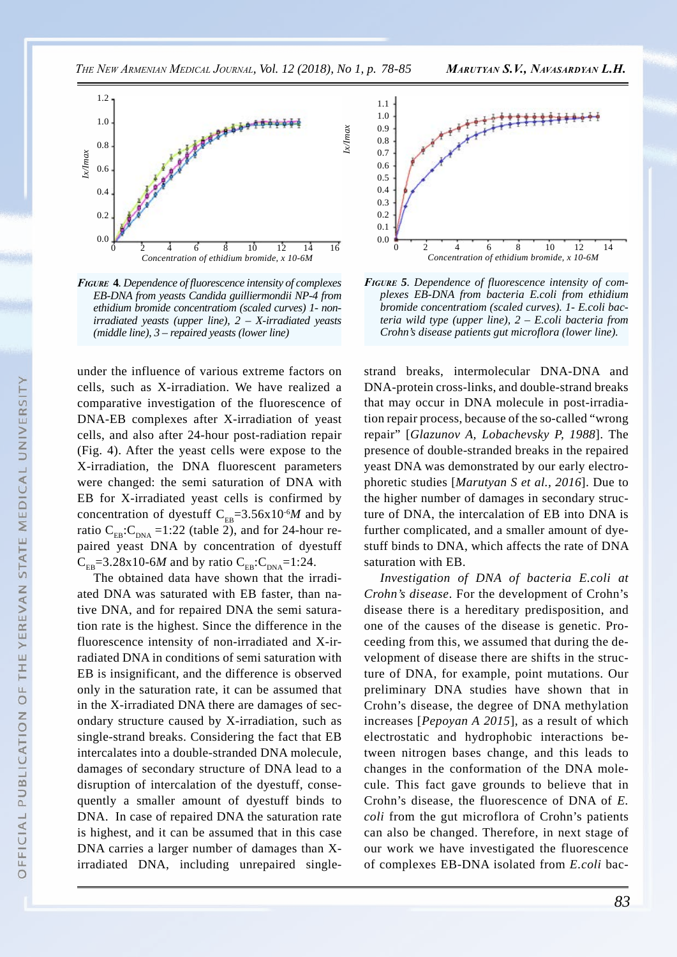

*Figure* **4***. Dependence of fluorescence intensity of complexes EB-DNA from yeasts Candida guilliermondii NP-4 from ethidium bromide concentratiom (scaled curves) 1- nonirradiated yeasts (upper line), 2 – X-irradiated yeasts (middle line), 3 – repaired yeasts (lower line)*

under the influence of various extreme factors on cells, such as X-irradiation. We have realized a comparative investigation of the fluorescence of DNA-EB complexes after X-irradiation of yeast cells, and also after 24-hour post-radiation repair (Fig. 4). After the yeast cells were expose to the X-irradiation, the DNA fluorescent parameters were changed: the semi saturation of DNA with EB for X-irradiated yeast cells is confirmed by concentration of dyestuff  $C_{FB} = 3.56 \times 10^{-6} M$  and by ratio  $C_{FB}$ : $C_{DNA}$  =1:22 (table 2), and for 24-hour repaired yeast DNA by concentration of dyestuff  $C_{FB}$ =3.28x10-6*M* and by ratio  $C_{FB}$ : $C_{DNA}$ =1:24.

The obtained data have shown that the irradiated DNA was saturated with EB faster, than native DNA, and for repaired DNA the semi saturation rate is the highest. Since the difference in the fluorescence intensity of non-irradiated and X-irradiated DNA in conditions of semi saturation with EB is insignificant, and the difference is observed only in the saturation rate, it can be assumed that in the X-irradiated DNA there are damages of secondary structure caused by X-irradiation, such as single-strand breaks. Considering the fact that EB intercalates into a double-stranded DNA molecule, damages of secondary structure of DNA lead to a disruption of intercalation of the dyestuff, consequently a smaller amount of dyestuff binds to DNA. In case of repaired DNA the saturation rate is highest, and it can be assumed that in this case DNA carries a larger number of damages than Xirradiated DNA, including unrepaired single-



*Figure 5. Dependence of fluorescence intensity of complexes EB-DNA from bacteria E.coli from ethidium bromide concentratiom (scaled curves). 1- E.coli bacteria wild type (upper line), 2 – E.coli bacteria from Crohn's disease patients gut microflora (lower line).* 

strand breaks, intermolecular DNA-DNA and DNA-protein cross-links, and double-strand breaks that may occur in DNA molecule in post-irradiation repair process, because of the so-called "wrong repair" [*Glazunov A, Lobachevsky P, 1988*]. The presence of double-stranded breaks in the repaired yeast DNA was demonstrated by our early electrophoretic studies [*Marutyan S et al., 2016*]. Due to the higher number of damages in secondary structure of DNA, the intercalation of EB into DNA is further complicated, and a smaller amount of dyestuff binds to DNA, which affects the rate of DNA saturation with EB.

*Investigation of DNA of bacteria E.coli at Crohn's disease*. For the development of Crohn's disease there is a hereditary predisposition, and one of the causes of the disease is genetic. Proceeding from this, we assumed that during the development of disease there are shifts in the structure of DNA, for example, point mutations. Our preliminary DNA studies have shown that in Crohn's disease, the degree of DNA methylation increases [*Pepoyan A 2015*], as a result of which electrostatic and hydrophobic interactions between nitrogen bases change, and this leads to changes in the conformation of the DNA molecule. This fact gave grounds to believe that in Crohn's disease, the fluorescence of DNA of *E. coli* from the gut microflora of Crohn's patients can also be changed. Therefore, in next stage of our work we have investigated the fluorescence of complexes EB-DNA isolated from *E.coli* bac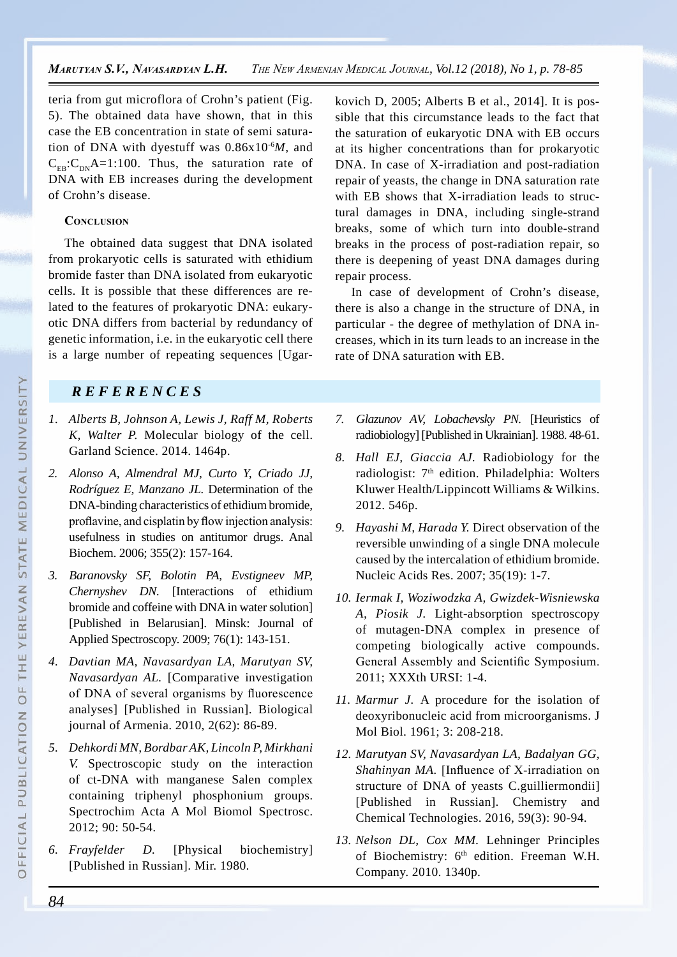teria from gut microflora of Crohn's patient (Fig. 5). The obtained data have shown, that in this case the EB concentration in state of semi saturation of DNA with dyestuff was 0.86x10-6*M*, and  $C_{FB}:C_{DN}A=1:100$ . Thus, the saturation rate of DNA with EB increases during the development of Crohn's disease.

### **CONCLUSION**

The obtained data suggest that DNA isolated from prokaryotic cells is saturated with ethidium bromide faster than DNA isolated from eukaryotic cells. It is possible that these differences are related to the features of prokaryotic DNA: eukaryotic DNA differs from bacterial by redundancy of genetic information, i.e. in the eukaryotic cell there is a large number of repeating sequences [Ugar-

# kovich D, 2005; Alberts B et al., 2014]. It is possible that this circumstance leads to the fact that the saturation of eukaryotic DNA with EB occurs at its higher concentrations than for prokaryotic DNA. In case of X-irradiation and post-radiation repair of yeasts, the change in DNA saturation rate with EB shows that X-irradiation leads to structural damages in DNA, including single-strand breaks, some of which turn into double-strand breaks in the process of post-radiation repair, so there is deepening of yeast DNA damages during repair process.

In case of development of Crohn's disease, there is also a change in the structure of DNA, in particular - the degree of methylation of DNA increases, which in its turn leads to an increase in the rate of DNA saturation with EB.

# *REFERENCE S*

- *1. Alberts B, Johnson A, Lewis J, Raff M, Roberts K, Walter P.* Molecular biology of the cell. Garland Science. 2014. 1464p.
- *2. Alonso A, Almendral MJ, Curto Y, Criado JJ, Rodríguez E, Manzano JL.* Determination of the DNA-binding characteristics of ethidium bromide, proflavine, and cisplatin by flow injection analysis: usefulness in studies on antitumor drugs. Anal Biochem. 2006; 355(2): 157-164.
- *3. Baranovsky SF, Bolotin PA, Evstigneev MP, Chernyshev DN.* [Interactions of ethidium bromide and coffeine with DNA in water solution] [Published in Belarusian]. Minsk: Journal of Applied Spectroscopy. 2009; 76(1): 143-151.
- *4. Davtian MA, Navasardyan LA, Marutyan SV, Navasardyan AL.* [Comparative investigation of DNA of several organisms by fluorescence analyses] [Published in Russian]. Biological journal of Armenia. 2010, 2(62): 86-89.
- *5. Dehkordi MN, Bordbar AK, Lincoln P, Mirkhani V.* Spectroscopic study on the interaction of ct-DNA with manganese Salen complex containing triphenyl phosphonium groups. Spectrochim Acta A Mol Biomol Spectrosc. 2012; 90: 50-54.
- *6. Frayfelder D.* [Physical biochemistry] [Published in Russian]. Mir. 1980.
- *7. Glazunov AV, Lobachevsky PN.* [Heuristics of radiobiology] [Published in Ukrainian]. 1988. 48-61.
- *8. Hall EJ, Giaccia AJ.* Radiobiology for the radiologist: 7<sup>th</sup> edition. Philadelphia: Wolters Kluwer Health/Lippincott Williams & Wilkins. 2012. 546p.
- *9. Hayashi M, Harada Y.* Direct observation of the reversible unwinding of a single DNA molecule caused by the intercalation of ethidium bromide. Nucleic Acids Res. 2007; 35(19): 1-7.
- *10. Iermak I, Woziwodzka A, Gwizdek-Wisniewska A, Piosik J.* Light-absorption spectroscopy of mutagen-DNA complex in presence of competing biologically active compounds. General Assembly and Scientific Symposium. 2011; XXXth URSI: 1-4.
- *11. Marmur J.* A procedure for the isolation of deoxyribonucleic acid from microorganisms. J Mol Biol. 1961; 3: 208-218.
- *12. Marutyan SV, Navasardyan LA, Badalyan GG, Shahinyan MA.* [Influence of X-irradiation on structure of DNA of yeasts C.guilliermondii] [Published in Russian]. Chemistry and Chemical Technologies. 2016, 59(3): 90-94.
- *13. Nelson DL, Cox MM.* Lehninger Principles of Biochemistry: 6<sup>th</sup> edition. Freeman W.H. Company. 2010. 1340p.

 $\circ$